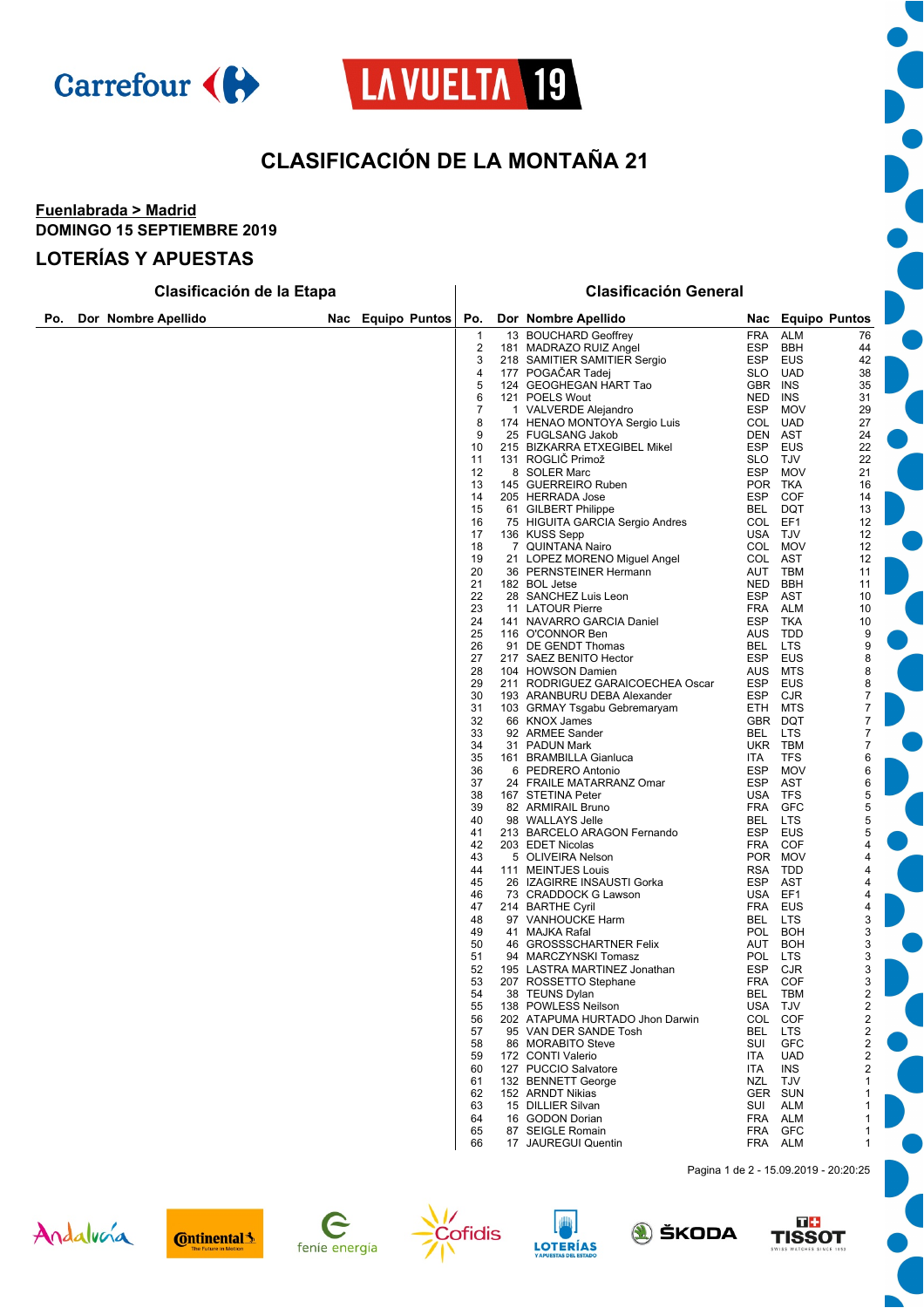

# LAVUELTA<sup>19</sup>

# **CLASIFICACIÓN DE LA MONTAÑA 21**

#### **Fuenlabrada > Madrid DOMINGO 15 SEPTIEMBRE 2019**

#### **LOTERÍAS Y APUESTAS**

|     | Clasificación de la Etapa |                     |     |               |          | <b>Clasificación General</b> |                                                        |                    |                          |                                      |  |  |
|-----|---------------------------|---------------------|-----|---------------|----------|------------------------------|--------------------------------------------------------|--------------------|--------------------------|--------------------------------------|--|--|
| Po. |                           | Dor Nombre Apellido | Nac | Equipo Puntos | Po.      |                              | Dor Nombre Apellido                                    | Nac                |                          | <b>Equipo Puntos</b>                 |  |  |
|     |                           |                     |     |               | 1        |                              | 13 BOUCHARD Geoffrey                                   | FRA                | <b>ALM</b>               | 76                                   |  |  |
|     |                           |                     |     |               | 2        |                              | 181 MADRAZO RUIZ Angel                                 | ESP                | <b>BBH</b>               | 44                                   |  |  |
|     |                           |                     |     |               | 3<br>4   |                              | 218 SAMITIER SAMITIER Sergio<br>177 POGACAR Tadej      | <b>ESP</b><br>SLO. | <b>EUS</b><br><b>UAD</b> | 42<br>38                             |  |  |
|     |                           |                     |     |               | 5        |                              | 124 GEOGHEGAN HART Tao                                 | GBR                | INS                      | 35                                   |  |  |
|     |                           |                     |     |               | 6        |                              | 121 POELS Wout                                         | NED                | INS                      | 31                                   |  |  |
|     |                           |                     |     |               | 7        |                              | 1 VALVERDE Alejandro                                   | <b>ESP</b>         | <b>MOV</b>               | 29                                   |  |  |
|     |                           |                     |     |               | 8        |                              | 174 HENAO MONTOYA Sergio Luis                          | COL                | <b>UAD</b>               | 27                                   |  |  |
|     |                           |                     |     |               | 9        |                              | 25 FUGLSANG Jakob                                      | DEN                | AST                      | 24                                   |  |  |
|     |                           |                     |     |               | 10       |                              | 215 BIZKARRA ETXEGIBEL Mikel                           | <b>ESP</b>         | <b>EUS</b>               | 22                                   |  |  |
|     |                           |                     |     |               | 11<br>12 |                              | 131 ROGLIC Primož<br>8 SOLER Marc                      | SLO.<br><b>ESP</b> | TJV<br><b>MOV</b>        | 22<br>21                             |  |  |
|     |                           |                     |     |               | 13       |                              | 145 GUERREIRO Ruben                                    |                    | POR TKA                  | 16                                   |  |  |
|     |                           |                     |     |               | 14       |                              | 205 HERRADA Jose                                       | ESP                | <b>COF</b>               | 14                                   |  |  |
|     |                           |                     |     |               | 15       |                              | 61 GILBERT Philippe                                    | BEL                | DQT                      | 13                                   |  |  |
|     |                           |                     |     |               | 16       |                              | 75 HIGUITA GARCIA Sergio Andres                        | COL                | EF1                      | 12                                   |  |  |
|     |                           |                     |     |               | 17       |                              | 136 KUSS Sepp                                          |                    | USA TJV                  | 12                                   |  |  |
|     |                           |                     |     |               | 18<br>19 |                              | 7 QUINTANA Nairo<br>21 LOPEZ MORENO Miguel Angel       | COL                | COL MOV<br><b>AST</b>    | 12<br>12                             |  |  |
|     |                           |                     |     |               | 20       |                              | 36 PERNSTEINER Hermann                                 | AUT                | TBM                      | 11                                   |  |  |
|     |                           |                     |     |               | 21       |                              | 182 BOL Jetse                                          | NED                | <b>BBH</b>               | 11                                   |  |  |
|     |                           |                     |     |               | 22       |                              | 28 SANCHEZ Luis Leon                                   | <b>ESP</b>         | <b>AST</b>               | 10                                   |  |  |
|     |                           |                     |     |               | 23       |                              | 11 LATOUR Pierre                                       | FRA                | ALM                      | 10                                   |  |  |
|     |                           |                     |     |               | 24       |                              | 141 NAVARRO GARCIA Daniel<br>116 O'CONNOR Ben          | <b>ESP</b>         | TKA<br>AUS TDD           | 10                                   |  |  |
|     |                           |                     |     |               | 25<br>26 |                              | 91 DE GENDT Thomas                                     | BEL                | <b>LTS</b>               | 9<br>9                               |  |  |
|     |                           |                     |     |               | 27       |                              | 217 SAEZ BENITO Hector                                 | ESP                | <b>EUS</b>               | 8                                    |  |  |
|     |                           |                     |     |               | 28       |                              | 104 HOWSON Damien                                      | AUS                | MTS                      | 8                                    |  |  |
|     |                           |                     |     |               | 29       |                              | 211 RODRIGUEZ GARAICOECHEA Oscar                       | ESP                | EUS                      | 8                                    |  |  |
|     |                           |                     |     |               | 30       |                              | 193 ARANBURU DEBA Alexander                            | <b>ESP</b>         | <b>CJR</b>               | 7                                    |  |  |
|     |                           |                     |     |               | 31<br>32 |                              | 103 GRMAY Tsgabu Gebremaryam<br>66 KNOX James          | ETH                | MTS<br>GBR DQT           | $\boldsymbol{7}$<br>$\boldsymbol{7}$ |  |  |
|     |                           |                     |     |               | 33       |                              | 92 ARMEE Sander                                        | BEL                | <b>LTS</b>               | 7                                    |  |  |
|     |                           |                     |     |               | 34       |                              | 31 PADUN Mark                                          |                    | UKR TBM                  | 7                                    |  |  |
|     |                           |                     |     |               | 35       |                              | 161 BRAMBILLA Gianluca                                 | ITA                | <b>TFS</b>               | 6                                    |  |  |
|     |                           |                     |     |               | 36       |                              | 6 PEDRERO Antonio                                      | <b>ESP</b>         | <b>MOV</b>               | 6                                    |  |  |
|     |                           |                     |     |               | 37<br>38 |                              | 24 FRAILE MATARRANZ Omar<br>167 STETINA Peter          | <b>ESP</b>         | <b>AST</b><br>USA TFS    | 6<br>5                               |  |  |
|     |                           |                     |     |               | 39       |                              | 82 ARMIRAIL Bruno                                      | FRA                | <b>GFC</b>               | 5                                    |  |  |
|     |                           |                     |     |               | 40       |                              | 98 WALLAYS Jelle                                       | BEL                | <b>LTS</b>               | 5                                    |  |  |
|     |                           |                     |     |               | 41       |                              | 213 BARCELO ARAGON Fernando                            | ESP                | EUS                      | 5                                    |  |  |
|     |                           |                     |     |               | 42       |                              | 203 EDET Nicolas                                       | FRA                | COF                      | 4                                    |  |  |
|     |                           |                     |     |               | 43<br>44 |                              | 5 OLIVEIRA Nelson                                      |                    | POR MOV<br>RSA TDD       | 4<br>4                               |  |  |
|     |                           |                     |     |               | 45       |                              | 111 MEINTJES Louis<br>26 IZAGIRRE INSAUSTI Gorka       | ESP                | AST                      | 4                                    |  |  |
|     |                           |                     |     |               | 46       |                              | 73 CRADDOCK G Lawson                                   | USA                | EF1                      | 4                                    |  |  |
|     |                           |                     |     |               | 47       |                              | 214 BARTHE Cyril                                       | FRA                | EUS                      | 4                                    |  |  |
|     |                           |                     |     |               | 48       |                              | 97 VANHOUCKE Harm                                      | BEL                | LTS.                     | 3                                    |  |  |
|     |                           |                     |     |               | 49<br>50 |                              | 41 MAJKA Rafal<br>46 GROSSSCHARTNER Felix              | POL<br>AUT         | <b>BOH</b><br><b>BOH</b> | 3<br>3                               |  |  |
|     |                           |                     |     |               | 51       |                              | 94 MARCZYNSKI Tomasz                                   | POL                | LTS                      | 3                                    |  |  |
|     |                           |                     |     |               | 52       |                              | 195 LASTRA MARTINEZ Jonathan                           | ESP                | CJR                      | 3                                    |  |  |
|     |                           |                     |     |               | 53       |                              | 207 ROSSETTO Stephane                                  |                    | FRA COF                  | 3                                    |  |  |
|     |                           |                     |     |               | 54       |                              | 38 TEUNS Dylan                                         | BEL                | TBM                      | $\overline{\mathbf{c}}$              |  |  |
|     |                           |                     |     |               | 55<br>56 |                              | 138 POWLESS Neilson<br>202 ATAPUMA HURTADO Jhon Darwin | <b>USA</b><br>COL  | TJV<br><b>COF</b>        | 2<br>2                               |  |  |
|     |                           |                     |     |               | 57       |                              | 95 VAN DER SANDE Tosh                                  | BEL                | <b>LTS</b>               | $\overline{c}$                       |  |  |
|     |                           |                     |     |               | 58       |                              | 86 MORABITO Steve                                      | SUI                | <b>GFC</b>               | $\overline{c}$                       |  |  |
|     |                           |                     |     |               | 59       |                              | 172 CONTI Valerio                                      | ITA                | <b>UAD</b>               | 2                                    |  |  |
|     |                           |                     |     |               | 60       |                              | 127 PUCCIO Salvatore                                   | <b>ITA</b>         | <b>INS</b>               | 2                                    |  |  |
|     |                           |                     |     |               | 61<br>62 |                              | 132 BENNETT George<br>152 ARNDT Nikias                 | NZL                | TJV<br>GER SUN           | 1<br>1                               |  |  |
|     |                           |                     |     |               | 63       |                              | 15 DILLIER Silvan                                      | SUI                | <b>ALM</b>               | 1                                    |  |  |
|     |                           |                     |     |               | 64       |                              | 16 GODON Dorian                                        |                    | FRA ALM                  | 1                                    |  |  |
|     |                           |                     |     |               | 65       |                              | 87 SEIGLE Romain                                       |                    | FRA GFC                  | 1                                    |  |  |
|     |                           |                     |     |               | 66       |                              | 17 JAUREGUI Quentin                                    |                    | FRA ALM                  | 1                                    |  |  |

Pagina 1 de 2 - 15.09.2019 - 20:20:25















 $\overline{\phantom{a}}$ 

C 

 $\blacksquare$ 

 $\bullet$